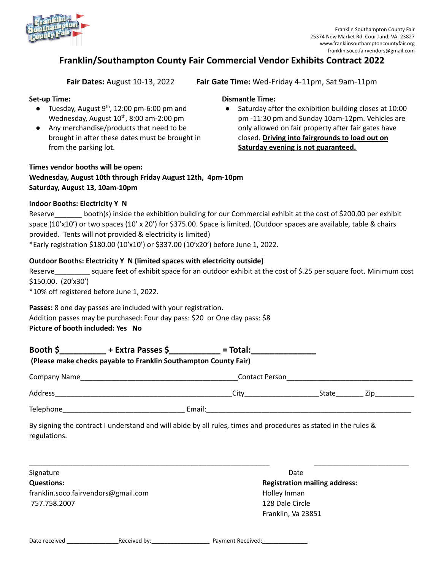

# **Franklin/Southampton County Fair Commercial Vendor Exhibits Contract 2022**

**Fair Dates:** August 10-13, 2022 **Fair Gate Time:** Wed-Friday 4-11pm, Sat 9am-11pm

### **Set-up Time:**

- $\bullet$  Tuesday, August 9<sup>th</sup>, 12:00 pm-6:00 pm and Wednesday, August  $10^{th}$ , 8:00 am-2:00 pm
- Any merchandise/products that need to be brought in after these dates must be brought in from the parking lot.

# **Dismantle Time:**

● Saturday after the exhibition building closes at 10:00 pm -11:30 pm and Sunday 10am-12pm. Vehicles are only allowed on fair property after fair gates have closed. **Driving into fairgrounds to load out on Saturday evening is not guaranteed.**

## **Times vendor booths will be open: Wednesday, August 10th through Friday August 12th, 4pm-10pm Saturday, August 13, 10am-10pm**

#### **Indoor Booths: Electricity Y N**

| Reserve | booth(s) inside the exhibition building for our Commercial exhibit at the cost of \$200.00 per exhibit                  |
|---------|-------------------------------------------------------------------------------------------------------------------------|
|         | space (10'x10') or two spaces (10' x 20') for \$375.00. Space is limited. (Outdoor spaces are available, table & chairs |
|         | provided. Tents will not provided & electricity is limited)                                                             |
|         | *Early registration \$180.00 (10'x10') or \$337.00 (10'x20') before June 1, 2022.                                       |

#### **Outdoor Booths: Electricity Y N (limited spaces with electricity outside)**

Reserve square feet of exhibit space for an outdoor exhibit at the cost of \$.25 per square foot. Minimum cost \$150.00. (20'x30')

\*10% off registered before June 1, 2022.

**Passes:** 8 one day passes are included with your registration. Addition passes may be purchased: Four day pass: \$20 or One day pass: \$8 **Picture of booth included: Yes No**

|              | Booth \$ $+$ Extra Passes \$ $-$ = Total: $-$ = Total:                                                          |                                      |       |  |  |
|--------------|-----------------------------------------------------------------------------------------------------------------|--------------------------------------|-------|--|--|
|              | (Please make checks payable to Franklin Southampton County Fair)                                                |                                      |       |  |  |
|              |                                                                                                                 | Contact Person <b>Contact Person</b> |       |  |  |
|              |                                                                                                                 |                                      | State |  |  |
|              |                                                                                                                 |                                      |       |  |  |
| regulations. | By signing the contract I understand and will abide by all rules, times and procedures as stated in the rules & |                                      |       |  |  |
|              |                                                                                                                 |                                      |       |  |  |

Signature **Date Questions: Registration mailing address:** franklin.soco.fairvendors@gmail.com example and the Holley Inman 757.758.2007 128 Dale Circle

Franklin, Va 23851